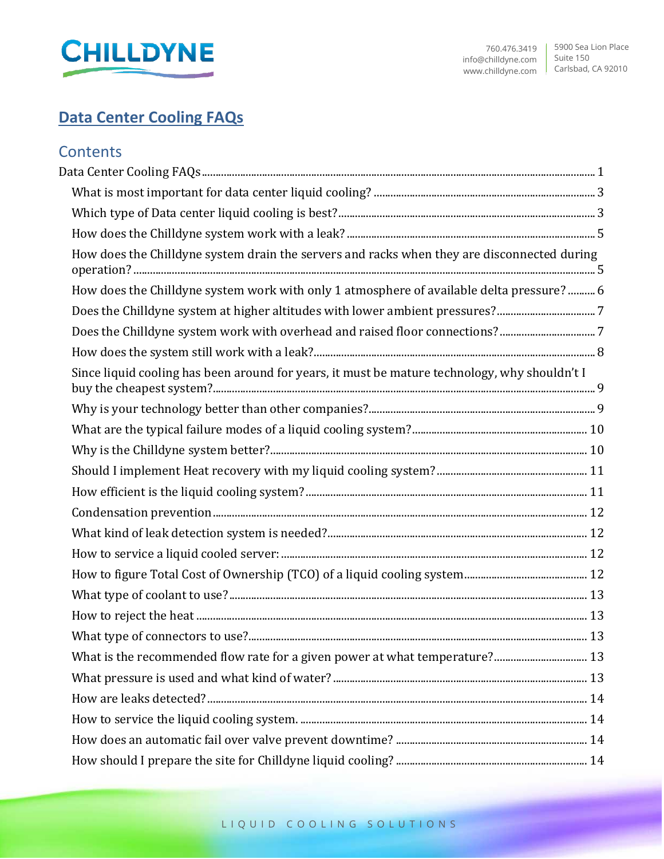

# <span id="page-0-0"></span>**Data Center Cooling FAQs**

# **Contents**

| How does the Chilldyne system drain the servers and racks when they are disconnected during   |
|-----------------------------------------------------------------------------------------------|
| How does the Chilldyne system work with only 1 atmosphere of available delta pressure?  6     |
| Does the Chilldyne system at higher altitudes with lower ambient pressures?7                  |
| Does the Chilldyne system work with overhead and raised floor connections?7                   |
|                                                                                               |
| Since liquid cooling has been around for years, it must be mature technology, why shouldn't I |
|                                                                                               |
|                                                                                               |
|                                                                                               |
|                                                                                               |
|                                                                                               |
|                                                                                               |
|                                                                                               |
|                                                                                               |
|                                                                                               |
|                                                                                               |
|                                                                                               |
|                                                                                               |
|                                                                                               |
|                                                                                               |
|                                                                                               |
|                                                                                               |
|                                                                                               |
|                                                                                               |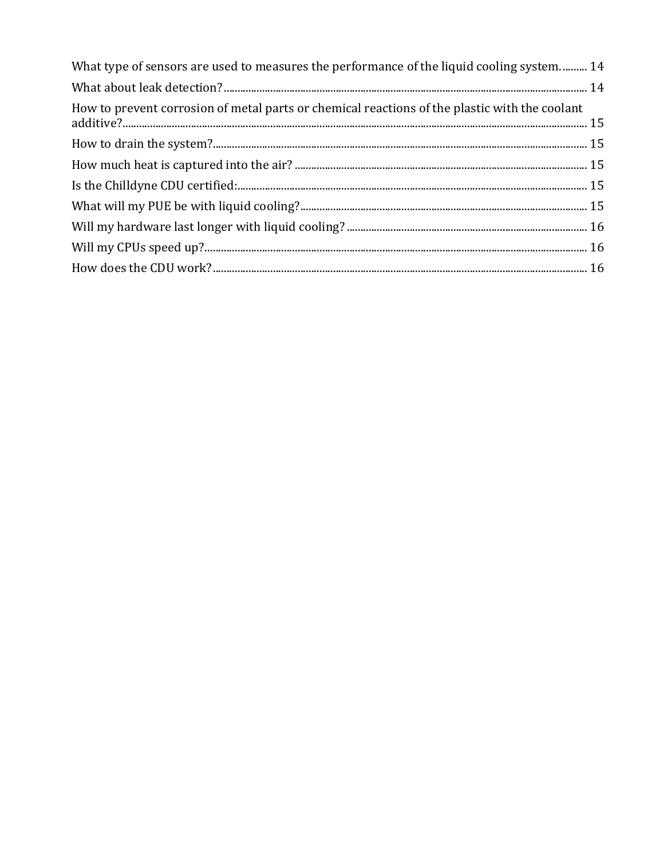| What type of sensors are used to measures the performance of the liquid cooling system 14     |  |
|-----------------------------------------------------------------------------------------------|--|
|                                                                                               |  |
| How to prevent corrosion of metal parts or chemical reactions of the plastic with the coolant |  |
|                                                                                               |  |
|                                                                                               |  |
|                                                                                               |  |
|                                                                                               |  |
|                                                                                               |  |
|                                                                                               |  |
|                                                                                               |  |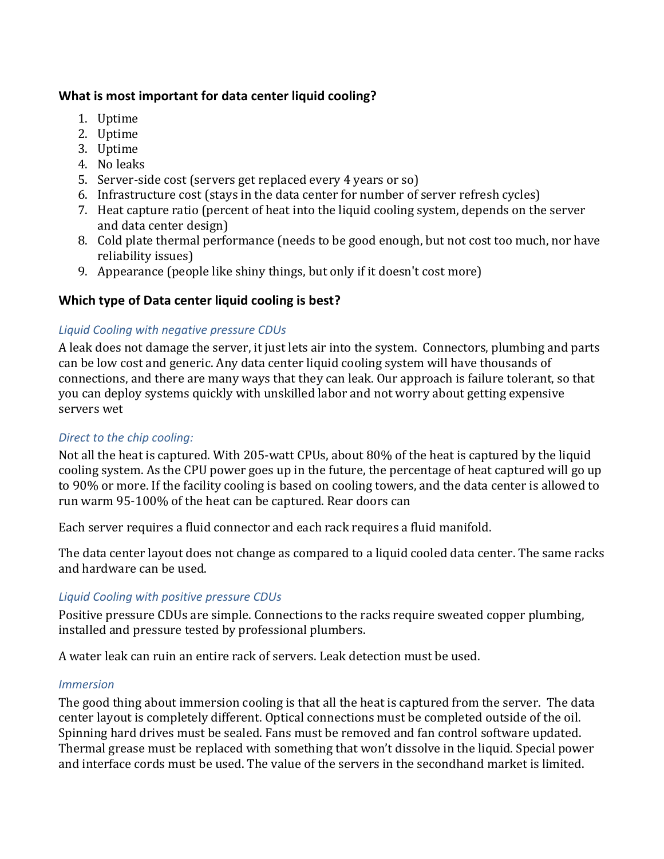### <span id="page-2-0"></span>**What is most important for data center liquid cooling?**

- 1. Uptime
- 2. Uptime
- 3. Uptime
- 4. No leaks
- 5. Server-side cost (servers get replaced every 4 years or so)
- 6. Infrastructure cost (stays in the data center for number of server refresh cycles)
- 7. Heat capture ratio (percent of heat into the liquid cooling system, depends on the server and data center design)
- 8. Cold plate thermal performance (needs to be good enough, but not cost too much, nor have reliability issues)
- 9. Appearance (people like shiny things, but only if it doesn't cost more)

#### <span id="page-2-1"></span>**Which type of Data center liquid cooling is best?**

#### *Liquid Cooling with negative pressure CDUs*

A leak does not damage the server, it just lets air into the system. Connectors, plumbing and parts can be low cost and generic. Any data center liquid cooling system will have thousands of connections, and there are many ways that they can leak. Our approach is failure tolerant, so that you can deploy systems quickly with unskilled labor and not worry about getting expensive servers wet

#### *Direct to the chip cooling:*

Not all the heat is captured. With 205-watt CPUs, about 80% of the heat is captured by the liquid cooling system. As the CPU power goes up in the future, the percentage of heat captured will go up to 90% or more. If the facility cooling is based on cooling towers, and the data center is allowed to run warm 95-100% of the heat can be captured. Rear doors can

Each server requires a fluid connector and each rack requires a fluid manifold.

The data center layout does not change as compared to a liquid cooled data center. The same racks and hardware can be used.

#### *Liquid Cooling with positive pressure CDUs*

Positive pressure CDUs are simple. Connections to the racks require sweated copper plumbing, installed and pressure tested by professional plumbers.

A water leak can ruin an entire rack of servers. Leak detection must be used.

#### *Immersion*

The good thing about immersion cooling is that all the heat is captured from the server. The data center layout is completely different. Optical connections must be completed outside of the oil. Spinning hard drives must be sealed. Fans must be removed and fan control software updated. Thermal grease must be replaced with something that won't dissolve in the liquid. Special power and interface cords must be used. The value of the servers in the secondhand market is limited.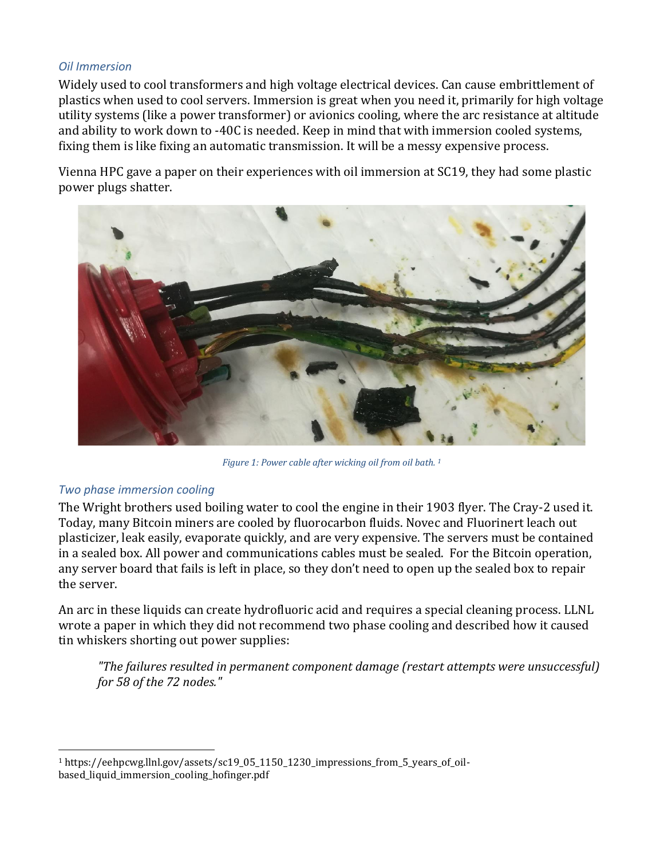#### *Oil Immersion*

Widely used to cool transformers and high voltage electrical devices. Can cause embrittlement of plastics when used to cool servers. Immersion is great when you need it, primarily for high voltage utility systems (like a power transformer) or avionics cooling, where the arc resistance at altitude and ability to work down to -40C is needed. Keep in mind that with immersion cooled systems, fixing them is like fixing an automatic transmission. It will be a messy expensive process.

Vienna HPC gave a paper on their experiences with oil immersion at SC19, they had some plastic power plugs shatter.



*Figure 1: Power cable after wicking oil from oil bath. <sup>1</sup>*

#### *Two phase immersion cooling*

The Wright brothers used boiling water to cool the engine in their 1903 flyer. The Cray-2 used it. Today, many Bitcoin miners are cooled by fluorocarbon fluids. Novec and Fluorinert leach out plasticizer, leak easily, evaporate quickly, and are very expensive. The servers must be contained in a sealed box. All power and communications cables must be sealed. For the Bitcoin operation, any server board that fails is left in place, so they don't need to open up the sealed box to repair the server.

An arc in these liquids can create hydrofluoric acid and requires a special cleaning process. LLNL wrote a paper in which they did not recommend two phase cooling and described how it caused tin whiskers shorting out power supplies:

*"The failures resulted in permanent component damage (restart attempts were unsuccessful) for 58 of the 72 nodes."*

<sup>1</sup> https://eehpcwg.llnl.gov/assets/sc19\_05\_1150\_1230\_impressions\_from\_5\_years\_of\_oilbased\_liquid\_immersion\_cooling\_hofinger.pdf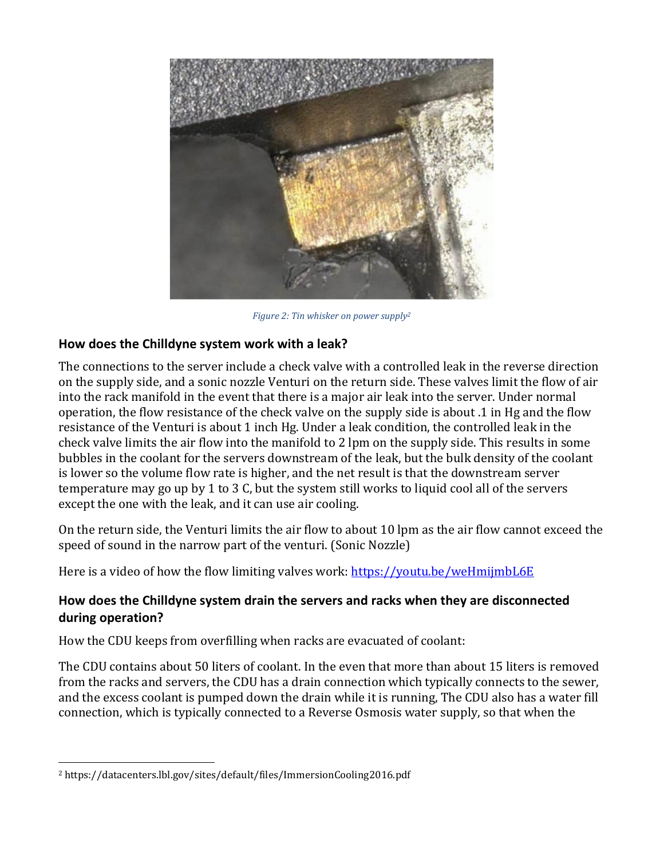

*Figure 2: Tin whisker on power supply<sup>2</sup>*

### <span id="page-4-0"></span>**How does the Chilldyne system work with a leak?**

The connections to the server include a check valve with a controlled leak in the reverse direction on the supply side, and a sonic nozzle Venturi on the return side. These valves limit the flow of air into the rack manifold in the event that there is a major air leak into the server. Under normal operation, the flow resistance of the check valve on the supply side is about .1 in Hg and the flow resistance of the Venturi is about 1 inch Hg. Under a leak condition, the controlled leak in the check valve limits the air flow into the manifold to 2 lpm on the supply side. This results in some bubbles in the coolant for the servers downstream of the leak, but the bulk density of the coolant is lower so the volume flow rate is higher, and the net result is that the downstream server temperature may go up by 1 to 3 C, but the system still works to liquid cool all of the servers except the one with the leak, and it can use air cooling.

On the return side, the Venturi limits the air flow to about 10 lpm as the air flow cannot exceed the speed of sound in the narrow part of the venturi. (Sonic Nozzle)

Here is a video of how the flow limiting valves work: <https://youtu.be/weHmijmbL6E>

### <span id="page-4-1"></span>**How does the Chilldyne system drain the servers and racks when they are disconnected during operation?**

How the CDU keeps from overfilling when racks are evacuated of coolant:

The CDU contains about 50 liters of coolant. In the even that more than about 15 liters is removed from the racks and servers, the CDU has a drain connection which typically connects to the sewer, and the excess coolant is pumped down the drain while it is running, The CDU also has a water fill connection, which is typically connected to a Reverse Osmosis water supply, so that when the

<sup>2</sup> https://datacenters.lbl.gov/sites/default/files/ImmersionCooling2016.pdf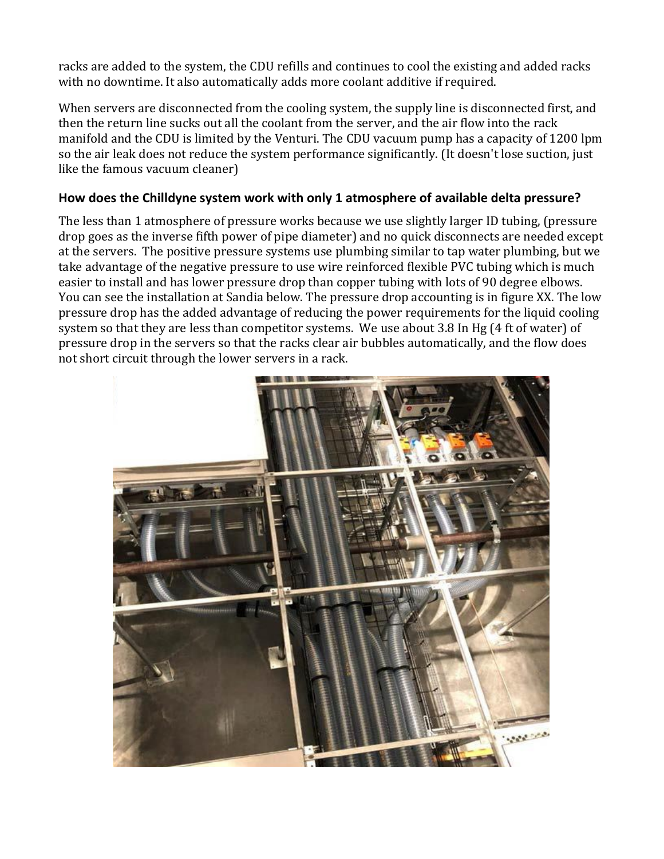racks are added to the system, the CDU refills and continues to cool the existing and added racks with no downtime. It also automatically adds more coolant additive if required.

When servers are disconnected from the cooling system, the supply line is disconnected first, and then the return line sucks out all the coolant from the server, and the air flow into the rack manifold and the CDU is limited by the Venturi. The CDU vacuum pump has a capacity of 1200 lpm so the air leak does not reduce the system performance significantly. (It doesn't lose suction, just like the famous vacuum cleaner)

### <span id="page-5-0"></span>**How does the Chilldyne system work with only 1 atmosphere of available delta pressure?**

The less than 1 atmosphere of pressure works because we use slightly larger ID tubing, (pressure drop goes as the inverse fifth power of pipe diameter) and no quick disconnects are needed except at the servers. The positive pressure systems use plumbing similar to tap water plumbing, but we take advantage of the negative pressure to use wire reinforced flexible PVC tubing which is much easier to install and has lower pressure drop than copper tubing with lots of 90 degree elbows. You can see the installation at Sandia below. The pressure drop accounting is in figure XX. The low pressure drop has the added advantage of reducing the power requirements for the liquid cooling system so that they are less than competitor systems. We use about 3.8 In Hg (4 ft of water) of pressure drop in the servers so that the racks clear air bubbles automatically, and the flow does not short circuit through the lower servers in a rack.

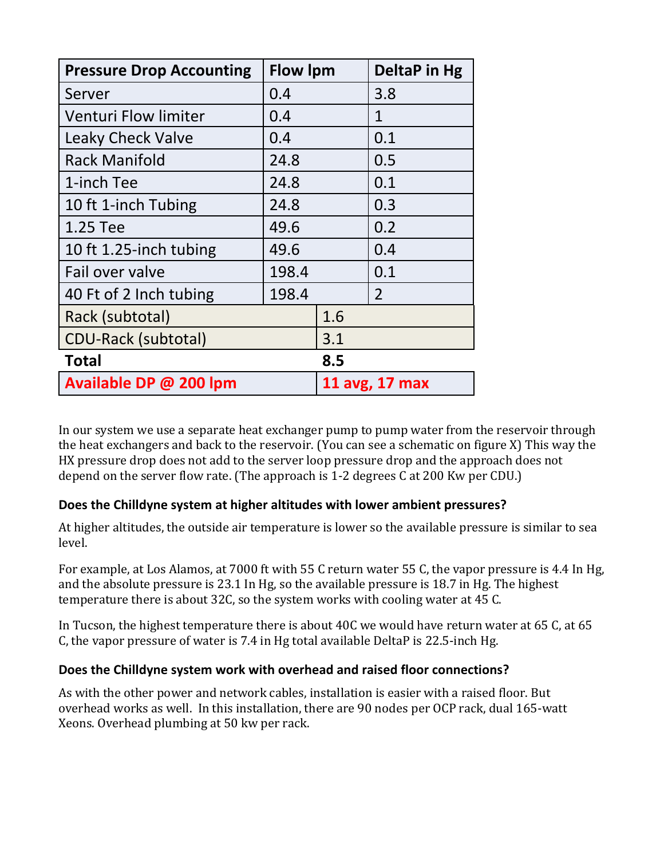| <b>Pressure Drop Accounting</b> | <b>Flow Ipm</b> |     | DeltaP in Hg   |
|---------------------------------|-----------------|-----|----------------|
| Server                          | 0.4             |     | 3.8            |
| <b>Venturi Flow limiter</b>     | 0.4             |     | 1              |
| <b>Leaky Check Valve</b>        | 0.4             |     | 0.1            |
| <b>Rack Manifold</b>            | 24.8            |     | 0.5            |
| 1-inch Tee                      | 24.8            |     | 0.1            |
| 10 ft 1-inch Tubing             | 24.8            |     | 0.3            |
| 1.25 Tee                        | 49.6            |     | 0.2            |
| 10 ft 1.25-inch tubing          | 49.6            |     | 0.4            |
| Fail over valve                 | 198.4           |     | 0.1            |
| 40 Ft of 2 Inch tubing          | 198.4           |     | 2              |
| Rack (subtotal)                 |                 | 1.6 |                |
| <b>CDU-Rack (subtotal)</b>      |                 | 3.1 |                |
| <b>Total</b>                    |                 | 8.5 |                |
| Available DP @ 200 lpm          |                 |     | 11 avg, 17 max |

In our system we use a separate heat exchanger pump to pump water from the reservoir through the heat exchangers and back to the reservoir. (You can see a schematic on figure X) This way the HX pressure drop does not add to the server loop pressure drop and the approach does not depend on the server flow rate. (The approach is 1-2 degrees C at 200 Kw per CDU.)

### <span id="page-6-0"></span>**Does the Chilldyne system at higher altitudes with lower ambient pressures?**

At higher altitudes, the outside air temperature is lower so the available pressure is similar to sea level.

For example, at Los Alamos, at 7000 ft with 55 C return water 55 C, the vapor pressure is 4.4 In Hg, and the absolute pressure is 23.1 In Hg, so the available pressure is 18.7 in Hg. The highest temperature there is about 32C, so the system works with cooling water at 45 C.

In Tucson, the highest temperature there is about 40C we would have return water at 65 C, at 65 C, the vapor pressure of water is 7.4 in Hg total available DeltaP is 22.5-inch Hg.

### <span id="page-6-1"></span>**Does the Chilldyne system work with overhead and raised floor connections?**

As with the other power and network cables, installation is easier with a raised floor. But overhead works as well. In this installation, there are 90 nodes per OCP rack, dual 165-watt Xeons. Overhead plumbing at 50 kw per rack.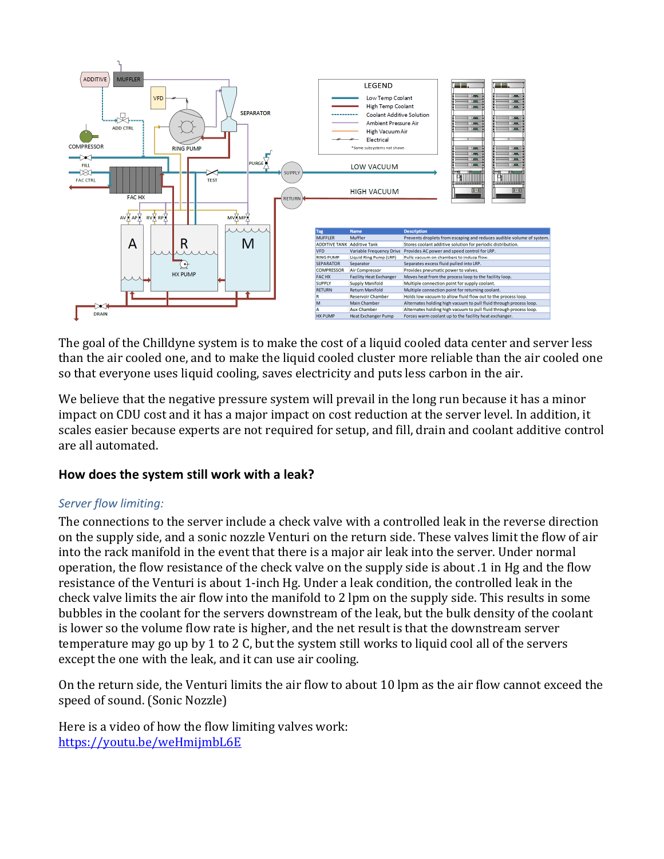

The goal of the Chilldyne system is to make the cost of a liquid cooled data center and server less than the air cooled one, and to make the liquid cooled cluster more reliable than the air cooled one so that everyone uses liquid cooling, saves electricity and puts less carbon in the air.

We believe that the negative pressure system will prevail in the long run because it has a minor impact on CDU cost and it has a major impact on cost reduction at the server level. In addition, it scales easier because experts are not required for setup, and fill, drain and coolant additive control are all automated.

### <span id="page-7-0"></span>**How does the system still work with a leak?**

#### *Server flow limiting:*

The connections to the server include a check valve with a controlled leak in the reverse direction on the supply side, and a sonic nozzle Venturi on the return side. These valves limit the flow of air into the rack manifold in the event that there is a major air leak into the server. Under normal operation, the flow resistance of the check valve on the supply side is about .1 in Hg and the flow resistance of the Venturi is about 1-inch Hg. Under a leak condition, the controlled leak in the check valve limits the air flow into the manifold to 2 lpm on the supply side. This results in some bubbles in the coolant for the servers downstream of the leak, but the bulk density of the coolant is lower so the volume flow rate is higher, and the net result is that the downstream server temperature may go up by 1 to 2 C, but the system still works to liquid cool all of the servers except the one with the leak, and it can use air cooling.

On the return side, the Venturi limits the air flow to about 10 lpm as the air flow cannot exceed the speed of sound. (Sonic Nozzle)

Here is a video of how the flow limiting valves work: <https://youtu.be/weHmijmbL6E>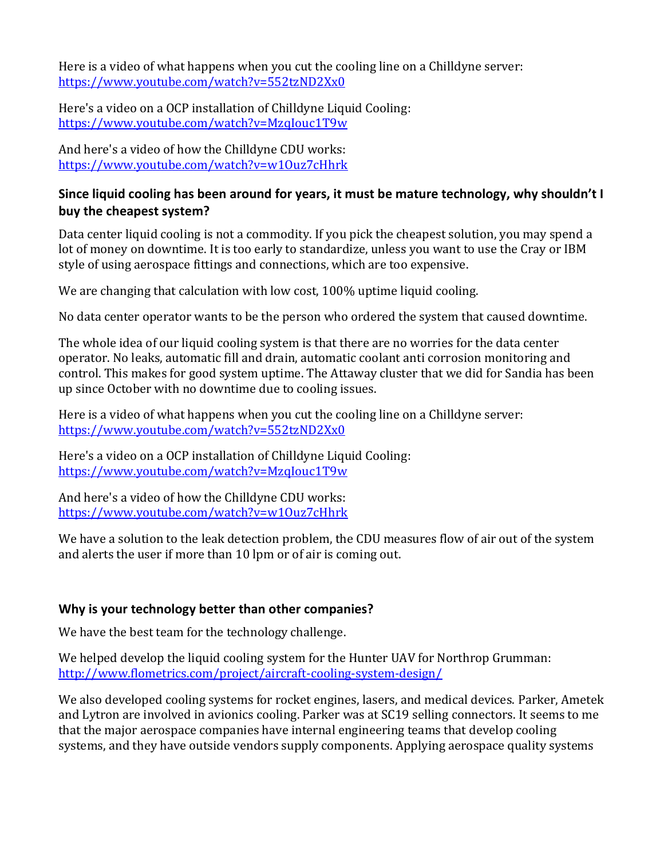Here is a video of what happens when you cut the cooling line on a Chilldyne server: <https://www.youtube.com/watch?v=552tzND2Xx0>

Here's a video on a OCP installation of Chilldyne Liquid Cooling: <https://www.youtube.com/watch?v=MzqIouc1T9w>

And here's a video of how the Chilldyne CDU works: <https://www.youtube.com/watch?v=w1Ouz7cHhrk>

# <span id="page-8-0"></span>**Since liquid cooling has been around for years, it must be mature technology, why shouldn't I buy the cheapest system?**

Data center liquid cooling is not a commodity. If you pick the cheapest solution, you may spend a lot of money on downtime. It is too early to standardize, unless you want to use the Cray or IBM style of using aerospace fittings and connections, which are too expensive.

We are changing that calculation with low cost, 100% uptime liquid cooling.

No data center operator wants to be the person who ordered the system that caused downtime.

The whole idea of our liquid cooling system is that there are no worries for the data center operator. No leaks, automatic fill and drain, automatic coolant anti corrosion monitoring and control. This makes for good system uptime. The Attaway cluster that we did for Sandia has been up since October with no downtime due to cooling issues.

Here is a video of what happens when you cut the cooling line on a Chilldyne server: <https://www.youtube.com/watch?v=552tzND2Xx0>

Here's a video on a OCP installation of Chilldyne Liquid Cooling: <https://www.youtube.com/watch?v=MzqIouc1T9w>

And here's a video of how the Chilldyne CDU works: <https://www.youtube.com/watch?v=w1Ouz7cHhrk>

We have a solution to the leak detection problem, the CDU measures flow of air out of the system and alerts the user if more than 10 lpm or of air is coming out.

### <span id="page-8-1"></span>**Why is your technology better than other companies?**

We have the best team for the technology challenge.

We helped develop the liquid cooling system for the Hunter UAV for Northrop Grumman: <http://www.flometrics.com/project/aircraft-cooling-system-design/>

We also developed cooling systems for rocket engines, lasers, and medical devices. Parker, Ametek and Lytron are involved in avionics cooling. Parker was at SC19 selling connectors. It seems to me that the major aerospace companies have internal engineering teams that develop cooling systems, and they have outside vendors supply components. Applying aerospace quality systems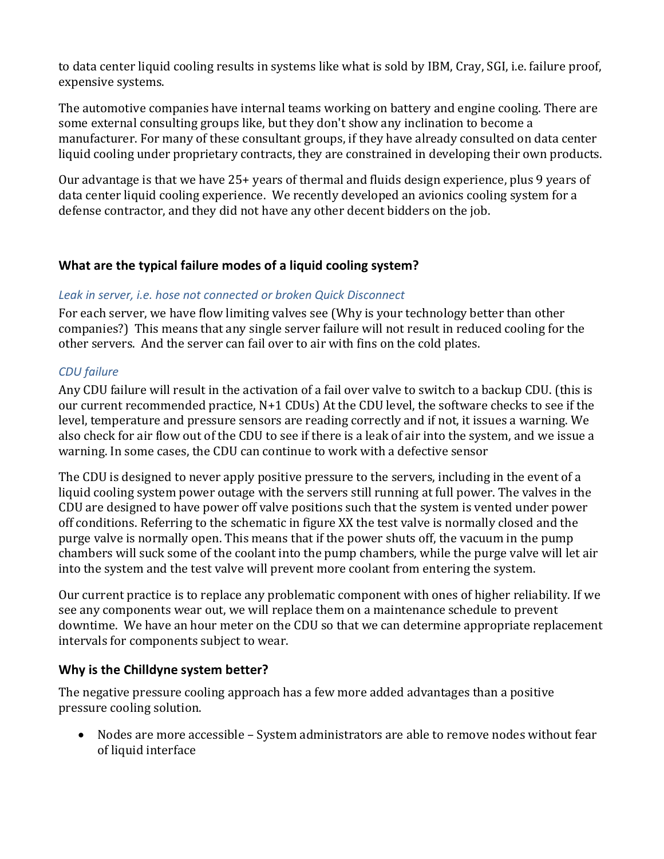to data center liquid cooling results in systems like what is sold by IBM, Cray, SGI, i.e. failure proof, expensive systems.

The automotive companies have internal teams working on battery and engine cooling. There are some external consulting groups like, but they don't show any inclination to become a manufacturer. For many of these consultant groups, if they have already consulted on data center liquid cooling under proprietary contracts, they are constrained in developing their own products.

Our advantage is that we have 25+ years of thermal and fluids design experience, plus 9 years of data center liquid cooling experience. We recently developed an avionics cooling system for a defense contractor, and they did not have any other decent bidders on the job.

# <span id="page-9-0"></span>**What are the typical failure modes of a liquid cooling system?**

#### *Leak in server, i.e. hose not connected or broken Quick Disconnect*

For each server, we have flow limiting valves see [\(Why is your technology better than other](#page-8-1)  [companies?\)](#page-8-1) This means that any single server failure will not result in reduced cooling for the other servers. And the server can fail over to air with fins on the cold plates.

### *CDU failure*

Any CDU failure will result in the activation of a fail over valve to switch to a backup CDU. (this is our current recommended practice, N+1 CDUs) At the CDU level, the software checks to see if the level, temperature and pressure sensors are reading correctly and if not, it issues a warning. We also check for air flow out of the CDU to see if there is a leak of air into the system, and we issue a warning. In some cases, the CDU can continue to work with a defective sensor

The CDU is designed to never apply positive pressure to the servers, including in the event of a liquid cooling system power outage with the servers still running at full power. The valves in the CDU are designed to have power off valve positions such that the system is vented under power off conditions. Referring to the schematic in figure XX the test valve is normally closed and the purge valve is normally open. This means that if the power shuts off, the vacuum in the pump chambers will suck some of the coolant into the pump chambers, while the purge valve will let air into the system and the test valve will prevent more coolant from entering the system.

Our current practice is to replace any problematic component with ones of higher reliability. If we see any components wear out, we will replace them on a maintenance schedule to prevent downtime. We have an hour meter on the CDU so that we can determine appropriate replacement intervals for components subject to wear.

### <span id="page-9-1"></span>**Why is the Chilldyne system better?**

The negative pressure cooling approach has a few more added advantages than a positive pressure cooling solution.

• Nodes are more accessible – System administrators are able to remove nodes without fear of liquid interface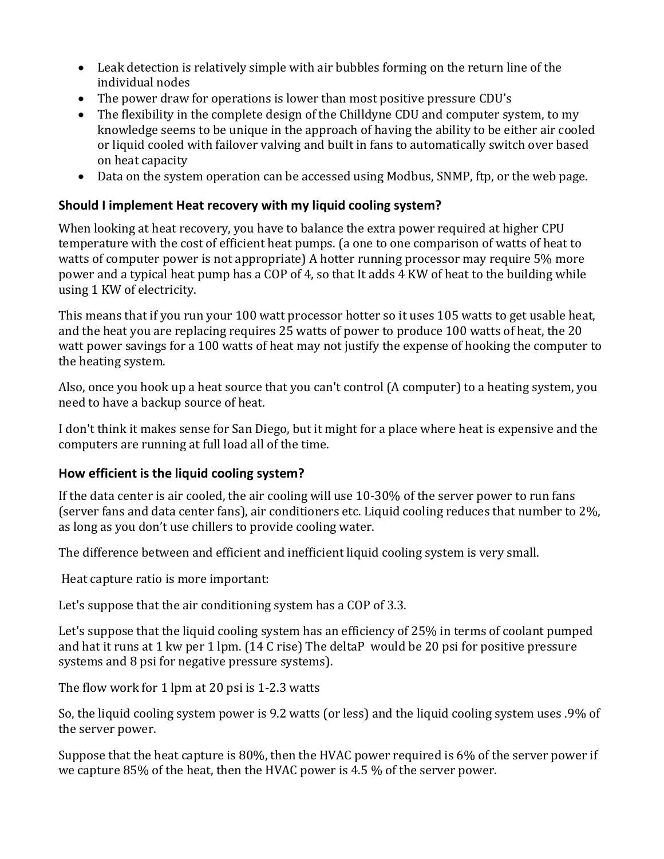- Leak detection is relatively simple with air bubbles forming on the return line of the individual nodes
- The power draw for operations is lower than most positive pressure CDU's
- The flexibility in the complete design of the Chilldyne CDU and computer system, to my knowledge seems to be unique in the approach of having the ability to be either air cooled or liquid cooled with failover valving and built in fans to automatically switch over based on heat capacity
- Data on the system operation can be accessed using Modbus, SNMP, ftp, or the web page.

# <span id="page-10-0"></span>**Should I implement Heat recovery with my liquid cooling system?**

When looking at heat recovery, you have to balance the extra power required at higher CPU temperature with the cost of efficient heat pumps. (a one to one comparison of watts of heat to watts of computer power is not appropriate) A hotter running processor may require 5% more power and a typical heat pump has a COP of 4, so that It adds 4 KW of heat to the building while using 1 KW of electricity.

This means that if you run your 100 watt processor hotter so it uses 105 watts to get usable heat, and the heat you are replacing requires 25 watts of power to produce 100 watts of heat, the 20 watt power savings for a 100 watts of heat may not justify the expense of hooking the computer to the heating system.

Also, once you hook up a heat source that you can't control (A computer) to a heating system, you need to have a backup source of heat.

I don't think it makes sense for San Diego, but it might for a place where heat is expensive and the computers are running at full load all of the time.

### <span id="page-10-1"></span>**How efficient is the liquid cooling system?**

If the data center is air cooled, the air cooling will use 10-30% of the server power to run fans (server fans and data center fans), air conditioners etc. Liquid cooling reduces that number to 2%, as long as you don't use chillers to provide cooling water.

The difference between and efficient and inefficient liquid cooling system is very small.

Heat capture ratio is more important:

Let's suppose that the air conditioning system has a COP of 3.3.

Let's suppose that the liquid cooling system has an efficiency of 25% in terms of coolant pumped and hat it runs at 1 kw per 1 lpm. (14 C rise) The deltaP would be 20 psi for positive pressure systems and 8 psi for negative pressure systems).

The flow work for 1 lpm at 20 psi is 1-2.3 watts

So, the liquid cooling system power is 9.2 watts (or less) and the liquid cooling system uses .9% of the server power.

Suppose that the heat capture is 80%, then the HVAC power required is 6% of the server power if we capture 85% of the heat, then the HVAC power is 4.5 % of the server power.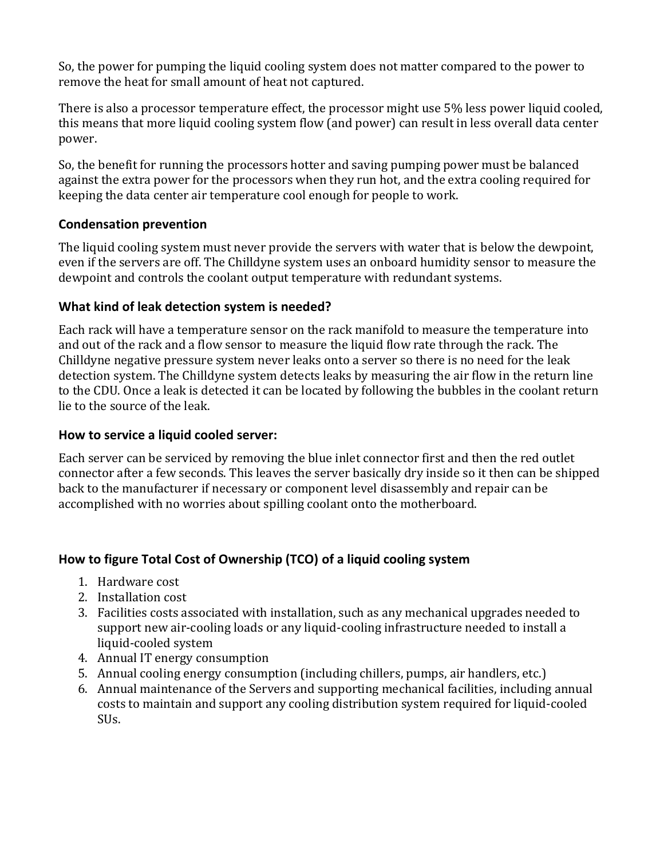So, the power for pumping the liquid cooling system does not matter compared to the power to remove the heat for small amount of heat not captured.

There is also a processor temperature effect, the processor might use 5% less power liquid cooled, this means that more liquid cooling system flow (and power) can result in less overall data center power.

So, the benefit for running the processors hotter and saving pumping power must be balanced against the extra power for the processors when they run hot, and the extra cooling required for keeping the data center air temperature cool enough for people to work.

# <span id="page-11-0"></span>**Condensation prevention**

The liquid cooling system must never provide the servers with water that is below the dewpoint, even if the servers are off. The Chilldyne system uses an onboard humidity sensor to measure the dewpoint and controls the coolant output temperature with redundant systems.

# <span id="page-11-1"></span>**What kind of leak detection system is needed?**

Each rack will have a temperature sensor on the rack manifold to measure the temperature into and out of the rack and a flow sensor to measure the liquid flow rate through the rack. The Chilldyne negative pressure system never leaks onto a server so there is no need for the leak detection system. The Chilldyne system detects leaks by measuring the air flow in the return line to the CDU. Once a leak is detected it can be located by following the bubbles in the coolant return lie to the source of the leak.

# <span id="page-11-2"></span>**How to service a liquid cooled server:**

Each server can be serviced by removing the blue inlet connector first and then the red outlet connector after a few seconds. This leaves the server basically dry inside so it then can be shipped back to the manufacturer if necessary or component level disassembly and repair can be accomplished with no worries about spilling coolant onto the motherboard.

# <span id="page-11-3"></span>**How to figure Total Cost of Ownership (TCO) of a liquid cooling system**

- 1. Hardware cost
- 2. Installation cost
- 3. Facilities costs associated with installation, such as any mechanical upgrades needed to support new air-cooling loads or any liquid-cooling infrastructure needed to install a liquid-cooled system
- 4. Annual IT energy consumption
- 5. Annual cooling energy consumption (including chillers, pumps, air handlers, etc.)
- 6. Annual maintenance of the Servers and supporting mechanical facilities, including annual costs to maintain and support any cooling distribution system required for liquid-cooled SUs.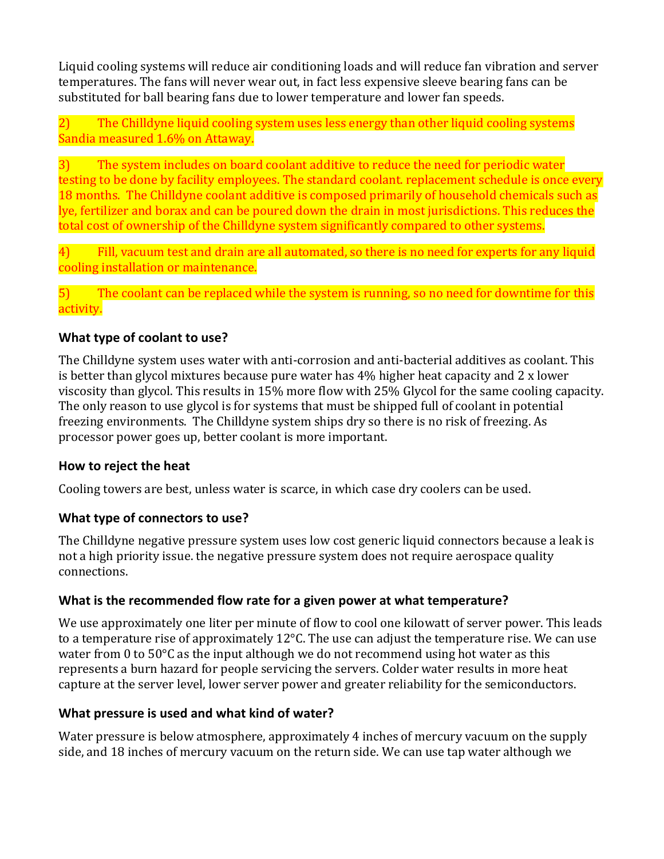Liquid cooling systems will reduce air conditioning loads and will reduce fan vibration and server temperatures. The fans will never wear out, in fact less expensive sleeve bearing fans can be substituted for ball bearing fans due to lower temperature and lower fan speeds.

2) The Chilldyne liquid cooling system uses less energy than other liquid cooling systems Sandia measured 1.6% on Attaway.

3) The system includes on board coolant additive to reduce the need for periodic water testing to be done by facility employees. The standard coolant. replacement schedule is once every 18 months. The Chilldyne coolant additive is composed primarily of household chemicals such as lye, fertilizer and borax and can be poured down the drain in most jurisdictions. This reduces the total cost of ownership of the Chilldyne system significantly compared to other systems.

4) Fill, vacuum test and drain are all automated, so there is no need for experts for any liquid cooling installation or maintenance.

5) The coolant can be replaced while the system is running, so no need for downtime for this activity.

#### <span id="page-12-0"></span>**What type of coolant to use?**

The Chilldyne system uses water with anti-corrosion and anti-bacterial additives as coolant. This is better than glycol mixtures because pure water has 4% higher heat capacity and 2 x lower viscosity than glycol. This results in 15% more flow with 25% Glycol for the same cooling capacity. The only reason to use glycol is for systems that must be shipped full of coolant in potential freezing environments. The Chilldyne system ships dry so there is no risk of freezing. As processor power goes up, better coolant is more important.

#### <span id="page-12-1"></span>**How to reject the heat**

Cooling towers are best, unless water is scarce, in which case dry coolers can be used.

### <span id="page-12-2"></span>**What type of connectors to use?**

The Chilldyne negative pressure system uses low cost generic liquid connectors because a leak is not a high priority issue. the negative pressure system does not require aerospace quality connections.

#### <span id="page-12-3"></span>**What is the recommended flow rate for a given power at what temperature?**

We use approximately one liter per minute of flow to cool one kilowatt of server power. This leads to a temperature rise of approximately 12°C. The use can adjust the temperature rise. We can use water from 0 to  $50^{\circ}$ C as the input although we do not recommend using hot water as this represents a burn hazard for people servicing the servers. Colder water results in more heat capture at the server level, lower server power and greater reliability for the semiconductors.

#### <span id="page-12-4"></span>**What pressure is used and what kind of water?**

Water pressure is below atmosphere, approximately 4 inches of mercury vacuum on the supply side, and 18 inches of mercury vacuum on the return side. We can use tap water although we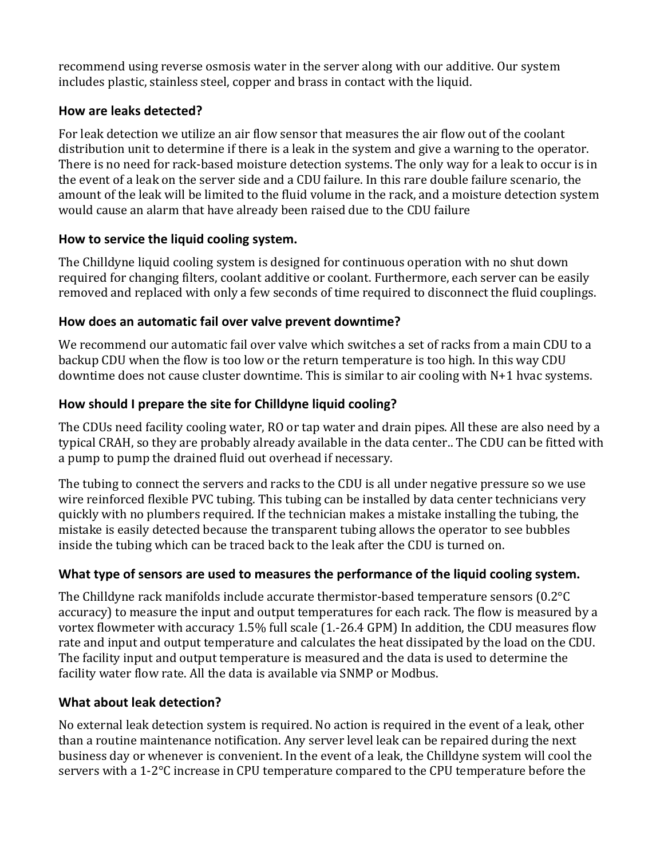recommend using reverse osmosis water in the server along with our additive. Our system includes plastic, stainless steel, copper and brass in contact with the liquid.

# <span id="page-13-0"></span>**How are leaks detected?**

For leak detection we utilize an air flow sensor that measures the air flow out of the coolant distribution unit to determine if there is a leak in the system and give a warning to the operator. There is no need for rack-based moisture detection systems. The only way for a leak to occur is in the event of a leak on the server side and a CDU failure. In this rare double failure scenario, the amount of the leak will be limited to the fluid volume in the rack, and a moisture detection system would cause an alarm that have already been raised due to the CDU failure

# <span id="page-13-1"></span>**How to service the liquid cooling system.**

The Chilldyne liquid cooling system is designed for continuous operation with no shut down required for changing filters, coolant additive or coolant. Furthermore, each server can be easily removed and replaced with only a few seconds of time required to disconnect the fluid couplings.

# <span id="page-13-2"></span>**How does an automatic fail over valve prevent downtime?**

We recommend our automatic fail over valve which switches a set of racks from a main CDU to a backup CDU when the flow is too low or the return temperature is too high. In this way CDU downtime does not cause cluster downtime. This is similar to air cooling with N+1 hvac systems.

# <span id="page-13-3"></span>**How should I prepare the site for Chilldyne liquid cooling?**

The CDUs need facility cooling water, RO or tap water and drain pipes. All these are also need by a typical CRAH, so they are probably already available in the data center.. The CDU can be fitted with a pump to pump the drained fluid out overhead if necessary.

The tubing to connect the servers and racks to the CDU is all under negative pressure so we use wire reinforced flexible PVC tubing. This tubing can be installed by data center technicians very quickly with no plumbers required. If the technician makes a mistake installing the tubing, the mistake is easily detected because the transparent tubing allows the operator to see bubbles inside the tubing which can be traced back to the leak after the CDU is turned on.

### <span id="page-13-4"></span>**What type of sensors are used to measures the performance of the liquid cooling system.**

The Chilldyne rack manifolds include accurate thermistor-based temperature sensors (0.2°C accuracy) to measure the input and output temperatures for each rack. The flow is measured by a vortex flowmeter with accuracy 1.5% full scale (1.-26.4 GPM) In addition, the CDU measures flow rate and input and output temperature and calculates the heat dissipated by the load on the CDU. The facility input and output temperature is measured and the data is used to determine the facility water flow rate. All the data is available via SNMP or Modbus.

# <span id="page-13-5"></span>**What about leak detection?**

No external leak detection system is required. No action is required in the event of a leak, other than a routine maintenance notification. Any server level leak can be repaired during the next business day or whenever is convenient. In the event of a leak, the Chilldyne system will cool the servers with a 1-2°C increase in CPU temperature compared to the CPU temperature before the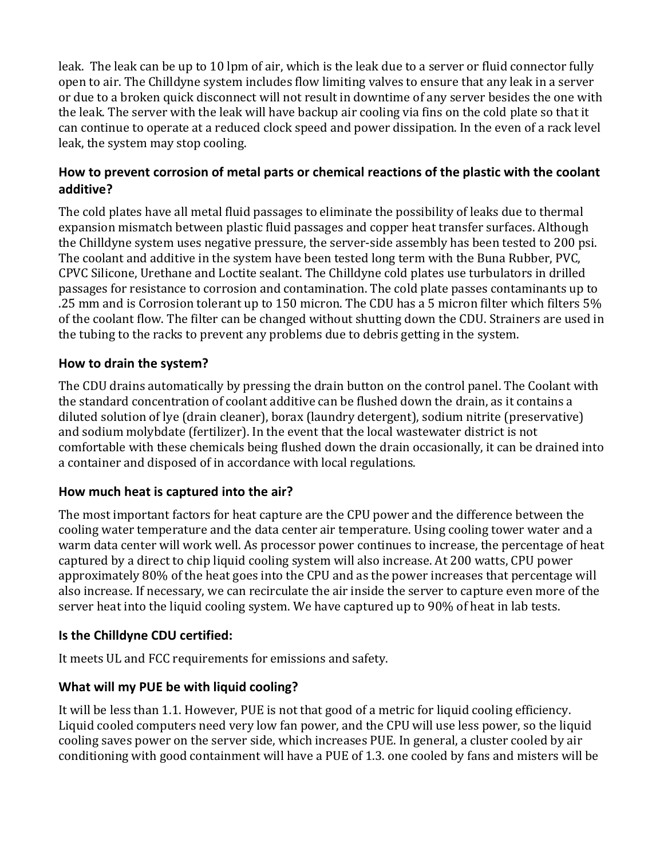leak. The leak can be up to 10 lpm of air, which is the leak due to a server or fluid connector fully open to air. The Chilldyne system includes flow limiting valves to ensure that any leak in a server or due to a broken quick disconnect will not result in downtime of any server besides the one with the leak. The server with the leak will have backup air cooling via fins on the cold plate so that it can continue to operate at a reduced clock speed and power dissipation. In the even of a rack level leak, the system may stop cooling.

# <span id="page-14-0"></span>**How to prevent corrosion of metal parts or chemical reactions of the plastic with the coolant additive?**

The cold plates have all metal fluid passages to eliminate the possibility of leaks due to thermal expansion mismatch between plastic fluid passages and copper heat transfer surfaces. Although the Chilldyne system uses negative pressure, the server-side assembly has been tested to 200 psi. The coolant and additive in the system have been tested long term with the Buna Rubber, PVC, CPVC Silicone, Urethane and Loctite sealant. The Chilldyne cold plates use turbulators in drilled passages for resistance to corrosion and contamination. The cold plate passes contaminants up to .25 mm and is Corrosion tolerant up to 150 micron. The CDU has a 5 micron filter which filters 5% of the coolant flow. The filter can be changed without shutting down the CDU. Strainers are used in the tubing to the racks to prevent any problems due to debris getting in the system.

# <span id="page-14-1"></span>**How to drain the system?**

The CDU drains automatically by pressing the drain button on the control panel. The Coolant with the standard concentration of coolant additive can be flushed down the drain, as it contains a diluted solution of lye (drain cleaner), borax (laundry detergent), sodium nitrite (preservative) and sodium molybdate (fertilizer). In the event that the local wastewater district is not comfortable with these chemicals being flushed down the drain occasionally, it can be drained into a container and disposed of in accordance with local regulations.

# <span id="page-14-2"></span>**How much heat is captured into the air?**

The most important factors for heat capture are the CPU power and the difference between the cooling water temperature and the data center air temperature. Using cooling tower water and a warm data center will work well. As processor power continues to increase, the percentage of heat captured by a direct to chip liquid cooling system will also increase. At 200 watts, CPU power approximately 80% of the heat goes into the CPU and as the power increases that percentage will also increase. If necessary, we can recirculate the air inside the server to capture even more of the server heat into the liquid cooling system. We have captured up to 90% of heat in lab tests.

# <span id="page-14-3"></span>**Is the Chilldyne CDU certified:**

It meets UL and FCC requirements for emissions and safety.

# <span id="page-14-4"></span>**What will my PUE be with liquid cooling?**

It will be less than 1.1. However, PUE is not that good of a metric for liquid cooling efficiency. Liquid cooled computers need very low fan power, and the CPU will use less power, so the liquid cooling saves power on the server side, which increases PUE. In general, a cluster cooled by air conditioning with good containment will have a PUE of 1.3. one cooled by fans and misters will be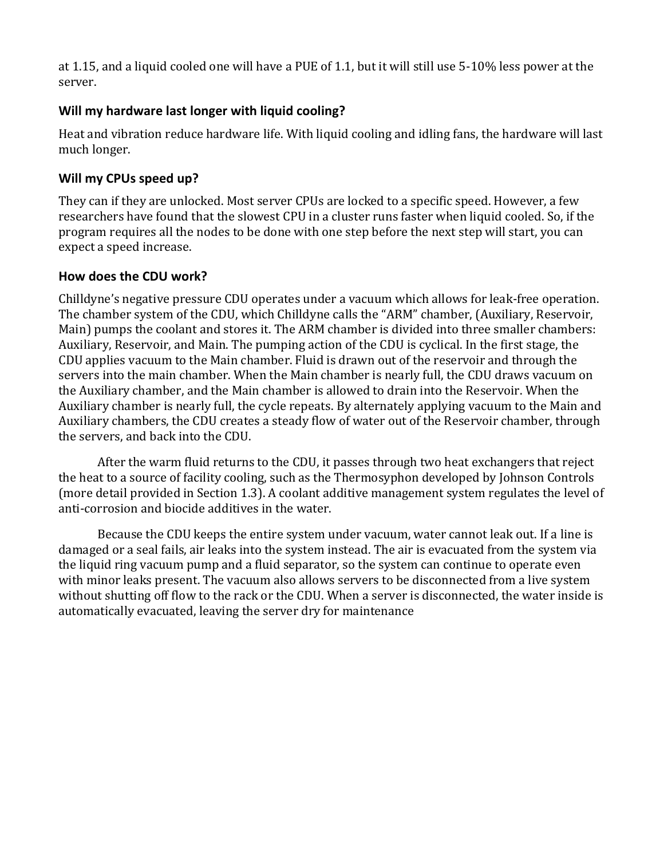at 1.15, and a liquid cooled one will have a PUE of 1.1, but it will still use 5-10% less power at the server.

# <span id="page-15-0"></span>**Will my hardware last longer with liquid cooling?**

Heat and vibration reduce hardware life. With liquid cooling and idling fans, the hardware will last much longer.

# <span id="page-15-1"></span>**Will my CPUs speed up?**

They can if they are unlocked. Most server CPUs are locked to a specific speed. However, a few researchers have found that the slowest CPU in a cluster runs faster when liquid cooled. So, if the program requires all the nodes to be done with one step before the next step will start, you can expect a speed increase.

### <span id="page-15-2"></span>**How does the CDU work?**

Chilldyne's negative pressure CDU operates under a vacuum which allows for leak-free operation. The chamber system of the CDU, which Chilldyne calls the "ARM" chamber, (Auxiliary, Reservoir, Main) pumps the coolant and stores it. The ARM chamber is divided into three smaller chambers: Auxiliary, Reservoir, and Main. The pumping action of the CDU is cyclical. In the first stage, the CDU applies vacuum to the Main chamber. Fluid is drawn out of the reservoir and through the servers into the main chamber. When the Main chamber is nearly full, the CDU draws vacuum on the Auxiliary chamber, and the Main chamber is allowed to drain into the Reservoir. When the Auxiliary chamber is nearly full, the cycle repeats. By alternately applying vacuum to the Main and Auxiliary chambers, the CDU creates a steady flow of water out of the Reservoir chamber, through the servers, and back into the CDU.

After the warm fluid returns to the CDU, it passes through two heat exchangers that reject the heat to a source of facility cooling, such as the Thermosyphon developed by Johnson Controls (more detail provided in Section 1.3). A coolant additive management system regulates the level of anti-corrosion and biocide additives in the water.

Because the CDU keeps the entire system under vacuum, water cannot leak out. If a line is damaged or a seal fails, air leaks into the system instead. The air is evacuated from the system via the liquid ring vacuum pump and a fluid separator, so the system can continue to operate even with minor leaks present. The vacuum also allows servers to be disconnected from a live system without shutting off flow to the rack or the CDU. When a server is disconnected, the water inside is automatically evacuated, leaving the server dry for maintenance